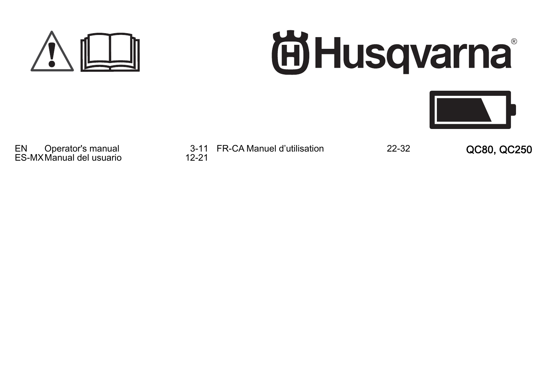

# **尚Husqvarna**



ES-MX Manual del usuario

EN Operator's manual 3-11 FR-CA Manuel d'utilisation<br>FS-MX Manual del usuario 42-21

FR-CA Manuel d'utilisation 22-32 QC80, QC250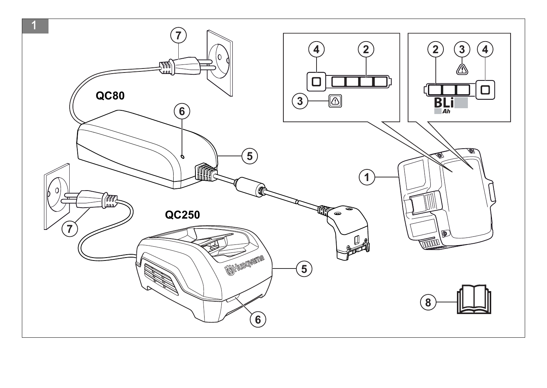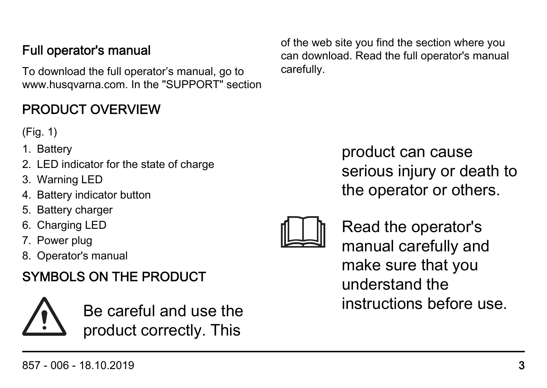#### 857 - 006 - 18.10.2019 3

#### Full operator's manual

To download the full operator's manual, go to www.husqvarna.com. In the "SUPPORT" section

#### PRODUCT OVERVIEW

(Fig. 1)

- 1. Battery
- 2. LED indicator for the state of charge
- 3. Warning LED
- 4. Battery indicator button
- 5. Battery charger
- 6. Charging LED
- 7. Power plug
- 8. Operator's manual

#### SYMBOLS ON THE PRODUCT



Be careful and use the product correctly. This

of the web site you find the section where you can download. Read the full operator's manual carefully.

> product can cause serious injury or death to the operator or others.



Read the operator's manual carefully and make sure that you understand the instructions before use.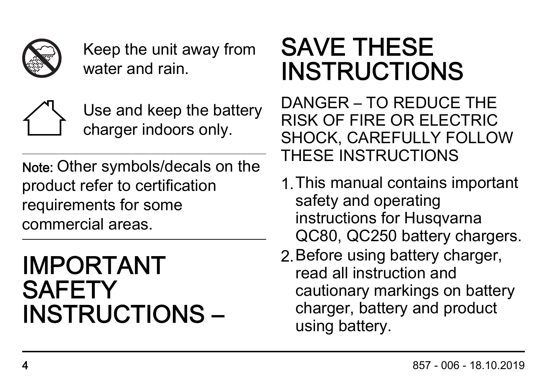

Keep the unit away from water and rain.



Use and keep the battery charger indoors only.

Note: Other symbols/decals on the product refer to certification requirements for some commercial areas.

# IMPORTANT **SAFETY** INSTRUCTIONS –

# SAVE THESE INSTRUCTIONS

DANGER – TO REDUCE THE RISK OF FIRE OR ELECTRIC SHOCK, CAREFULLY FOLLOW THESE INSTRUCTIONS

- 1.This manual contains important safety and operating instructions for Husqvarna QC80, QC250 battery chargers.
- 2.Before using battery charger, read all instruction and cautionary markings on battery charger, battery and product using battery.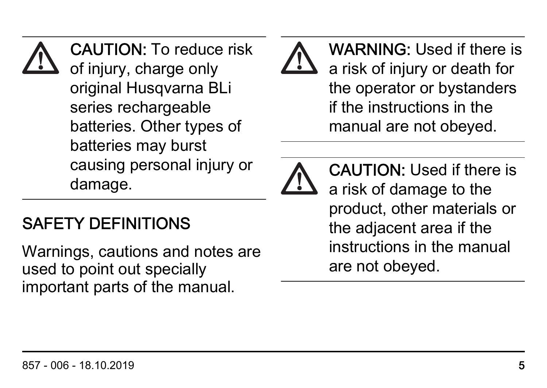#### CAUTION: To reduce risk of injury, charge only original Husqvarna BLi series rechargeable batteries. Other types of batteries may burst causing personal injury or damage.

### SAFETY DEFINITIONS

Warnings, cautions and notes are used to point out specially important parts of the manual.





CAUTION: Used if there is a risk of damage to the product, other materials or the adjacent area if the instructions in the manual are not obeyed.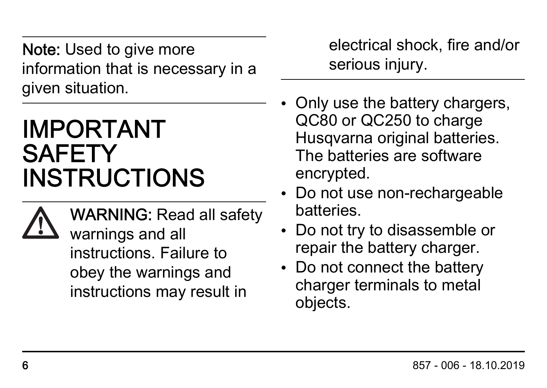Note: Used to give more information that is necessary in a given situation.

# IMPORTANT **SAFETY** INSTRUCTIONS



WARNING: Read all safety warnings and all instructions. Failure to obey the warnings and instructions may result in

electrical shock, fire and/or serious injury.

- Only use the battery chargers, QC80 or QC250 to charge Husqvarna original batteries. The batteries are software encrypted.
- Do not use non-rechargeable batteries.
- Do not try to disassemble or repair the battery charger.
- Do not connect the battery charger terminals to metal objects.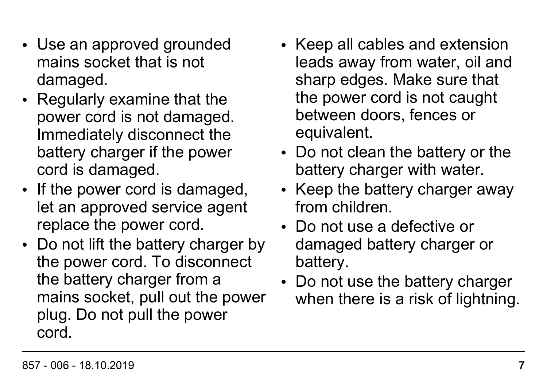- Use an approved grounded mains socket that is not damaged.
- Regularly examine that the power cord is not damaged. Immediately disconnect the battery charger if the power cord is damaged.
- If the power cord is damaged. let an approved service agent replace the power cord.
- Do not lift the battery charger by the power cord. To disconnect the battery charger from a mains socket, pull out the power plug. Do not pull the power cord.
- Keep all cables and extension leads away from water, oil and sharp edges. Make sure that the power cord is not caught between doors, fences or equivalent.
- Do not clean the battery or the battery charger with water.
- Keep the battery charger away from children.
- Do not use a defective or damaged battery charger or battery.
- Do not use the battery charger when there is a risk of lightning.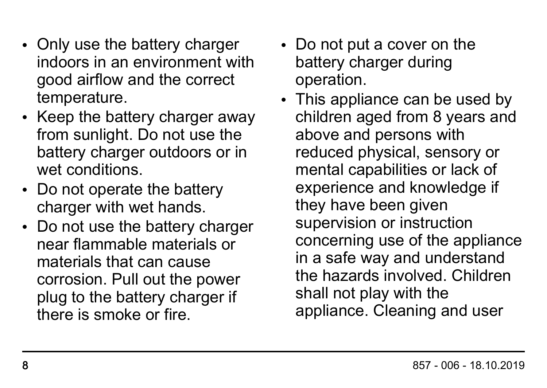- Only use the battery charger indoors in an environment with good airflow and the correct temperature.
- Keep the battery charger away from sunlight. Do not use the battery charger outdoors or in wet conditions.
- Do not operate the battery charger with wet hands.
- Do not use the battery charger near flammable materials or materials that can cause corrosion. Pull out the power plug to the battery charger if there is smoke or fire.
- Do not put a cover on the battery charger during operation.
- This appliance can be used by children aged from 8 years and above and persons with reduced physical, sensory or mental capabilities or lack of experience and knowledge if they have been given supervision or instruction concerning use of the appliance in a safe way and understand the hazards involved. Children shall not play with the appliance. Cleaning and user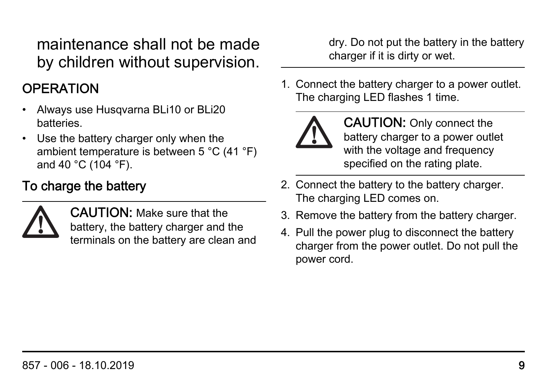maintenance shall not be made by children without supervision.

#### **OPERATION**

- Always use Husqvarna BLi10 or BLi20 batteries.
- Use the battery charger only when the ambient temperature is between 5 °C (41 °F) and 40 °C (104 °F).

#### To charge the battery



CAUTION: Make sure that the battery, the battery charger and the terminals on the battery are clean and dry. Do not put the battery in the battery charger if it is dirty or wet.

1. Connect the battery charger to a power outlet. The charging LED flashes 1 time.



CAUTION: Only connect the battery charger to a power outlet with the voltage and frequency specified on the rating plate.

- 2. Connect the battery to the battery charger. The charging LED comes on.
- 3. Remove the battery from the battery charger.
- 4. Pull the power plug to disconnect the battery charger from the power outlet. Do not pull the power cord.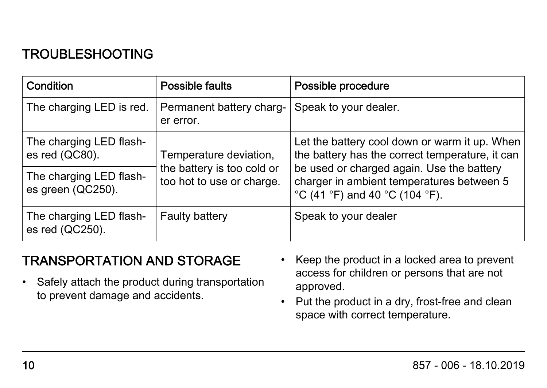#### TROUBLESHOOTING

| Condition                                    | Possible faults                                         | Possible procedure                                                                                                                                               |
|----------------------------------------------|---------------------------------------------------------|------------------------------------------------------------------------------------------------------------------------------------------------------------------|
| The charging LED is red.                     | Permanent battery charg-<br>er error.                   | Speak to your dealer.                                                                                                                                            |
| The charging LED flash-<br>es red (QC80).    | Temperature deviation,                                  | Let the battery cool down or warm it up. When<br>the battery has the correct temperature, it can                                                                 |
| The charging LED flash-<br>es green (QC250). | the battery is too cold or<br>too hot to use or charge. | be used or charged again. Use the battery<br>charger in ambient temperatures between 5<br>$^{\circ}$ C (41 $^{\circ}$ F) and 40 $^{\circ}$ C (104 $^{\circ}$ F). |
| The charging LED flash-<br>es red (QC250).   | <b>Faulty battery</b>                                   | Speak to your dealer                                                                                                                                             |

#### TRANSPORTATION AND STORAGE

- Safely attach the product during transportation to prevent damage and accidents.
- Keep the product in a locked area to prevent access for children or persons that are not approved.
- Put the product in a dry, frost-free and clean space with correct temperature.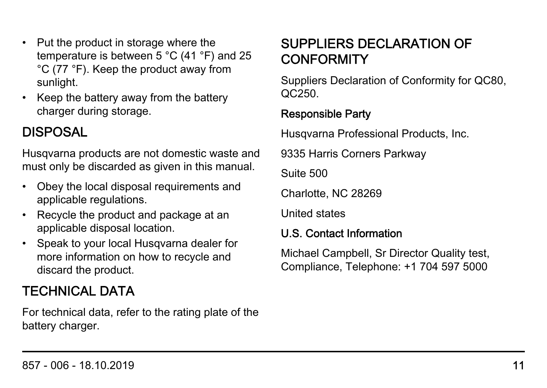- Put the product in storage where the temperature is between 5 °C (41 °F) and 25 °C (77 °F). Keep the product away from sunlight.
- Keep the battery away from the battery charger during storage.

#### DISPOSAL

Husqvarna products are not domestic waste and must only be discarded as given in this manual.

- Obey the local disposal requirements and applicable regulations.
- Recycle the product and package at an applicable disposal location.
- Speak to your local Husqvarna dealer for more information on how to recycle and discard the product.

#### TECHNICAL DATA

For technical data, refer to the rating plate of the battery charger.

#### SUPPLIERS DECLARATION OF **CONFORMITY**

Suppliers Declaration of Conformity for QC80, QC250.

#### Responsible Party

Husqvarna Professional Products, Inc.

9335 Harris Corners Parkway

Suite 500

Charlotte, NC 28269

United states

#### U.S. Contact Information

Michael Campbell, Sr Director Quality test, Compliance, Telephone: +1 704 597 5000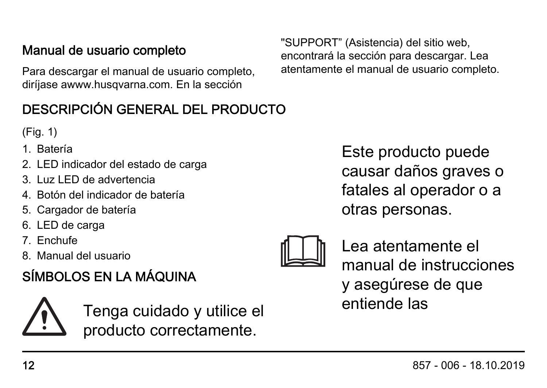#### Manual de usuario completo

Para descargar el manual de usuario completo, diríjase awww.husqvarna.com. En la sección

#### DESCRIPCIÓN GENERAL DEL PRODUCTO

(Fig. 1)

- 1. Batería
- 2. LED indicador del estado de carga
- 3. Luz LED de advertencia
- 4. Botón del indicador de batería
- 5. Cargador de batería
- 6. LED de carga
- 7. Enchufe
- 8. Manual del usuario

#### SÍMBOLOS EN LA MÁQUINA

Tenga cuidado y utilice el producto correctamente.

Este producto puede causar daños graves o fatales al operador o a otras personas.



Lea atentamente el manual de instrucciones y asegúrese de que entiende las

"SUPPORT" (Asistencia) del sitio web, encontrará la sección para descargar. Lea atentamente el manual de usuario completo.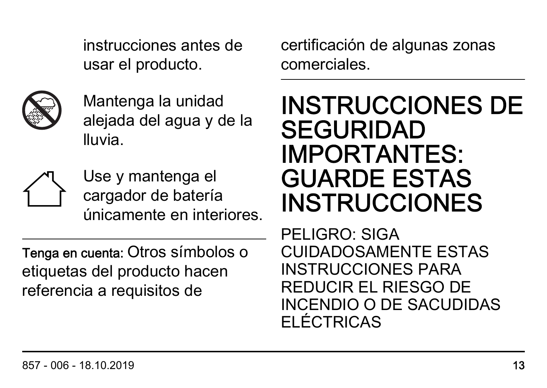instrucciones antes de usar el producto.



Mantenga la unidad alejada del agua y de la lluvia.



Use y mantenga el cargador de batería únicamente en interiores.

Tenga en cuenta: Otros símbolos o etiquetas del producto hacen referencia a requisitos de

certificación de algunas zonas comerciales.

# INSTRUCCIONES DE SEGURIDAD IMPORTANTES: GUARDE ESTAS **INSTRUCCIONES**

PELIGRO: SIGA CUIDADOSAMENTE ESTAS INSTRUCCIONES PARA REDUCIR EL RIESGO DE INCENDIO O DE SACUDIDAS ELÉCTRICAS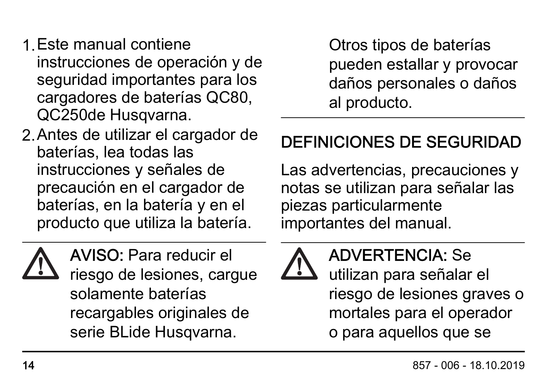- 1.Este manual contiene instrucciones de operación y de seguridad importantes para los cargadores de baterías QC80, QC250de Husqvarna.
- 2.Antes de utilizar el cargador de baterías, lea todas las instrucciones y señales de precaución en el cargador de baterías, en la batería y en el producto que utiliza la batería.



AVISO: Para reducir el riesgo de lesiones, cargue solamente baterías recargables originales de serie BLide Husqvarna.

Otros tipos de baterías pueden estallar y provocar daños personales o daños al producto.

### DEFINICIONES DE SEGURIDAD

Las advertencias, precauciones y notas se utilizan para señalar las piezas particularmente importantes del manual.



#### ADVERTENCIA: Se

utilizan para señalar el riesgo de lesiones graves o mortales para el operador o para aquellos que se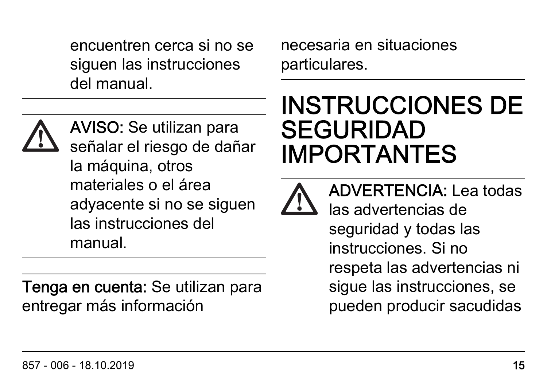encuentren cerca si no se siguen las instrucciones del manual.



AVISO: Se utilizan para señalar el riesgo de dañar la máquina, otros materiales o el área adyacente si no se siguen las instrucciones del manual.

Tenga en cuenta: Se utilizan para entregar más información

necesaria en situaciones particulares.

# INSTRUCCIONES DE SEGURIDAD IMPORTANTES



ADVERTENCIA: Lea todas las advertencias de seguridad y todas las instrucciones. Si no respeta las advertencias ni sigue las instrucciones, se pueden producir sacudidas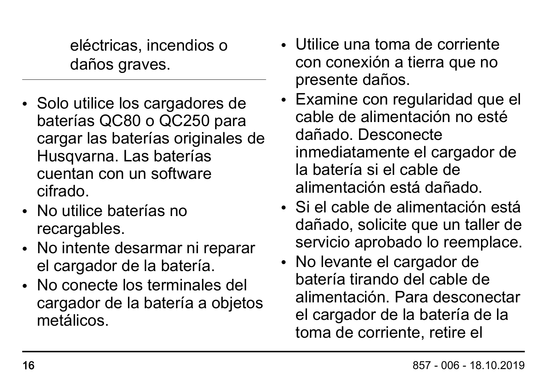eléctricas, incendios o daños graves.

- Solo utilice los cargadores de baterías QC80 o QC250 para cargar las baterías originales de Husqvarna. Las baterías cuentan con un software cifrado.
- No utilice baterías no recargables.
- No intente desarmar ni reparar el cargador de la batería.
- No conecte los terminales del cargador de la batería a objetos metálicos.
- Utilice una toma de corriente con conexión a tierra que no presente daños.
- Examine con regularidad que el cable de alimentación no esté dañado. Desconecte inmediatamente el cargador de la batería si el cable de alimentación está dañado.
- Si el cable de alimentación está dañado, solicite que un taller de servicio aprobado lo reemplace.
- No levante el cargador de batería tirando del cable de alimentación. Para desconectar el cargador de la batería de la toma de corriente, retire el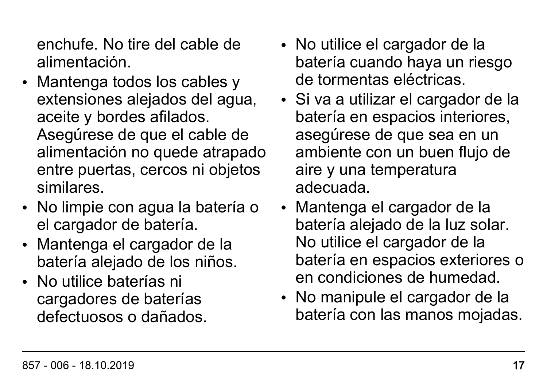enchufe. No tire del cable de alimentación.

- Mantenga todos los cables y extensiones alejados del agua, aceite y bordes afilados. Asegúrese de que el cable de alimentación no quede atrapado entre puertas, cercos ni objetos similares.
- No limpie con agua la batería o el cargador de batería.
- Mantenga el cargador de la batería alejado de los niños.
- No utilice baterías ni cargadores de baterías defectuosos o dañados.
- No utilice el cargador de la batería cuando haya un riesgo de tormentas eléctricas.
- Si va a utilizar el cargador de la batería en espacios interiores, asegúrese de que sea en un ambiente con un buen flujo de aire y una temperatura adecuada.
- Mantenga el cargador de la batería alejado de la luz solar. No utilice el cargador de la batería en espacios exteriores o en condiciones de humedad.
- No manipule el cargador de la batería con las manos mojadas.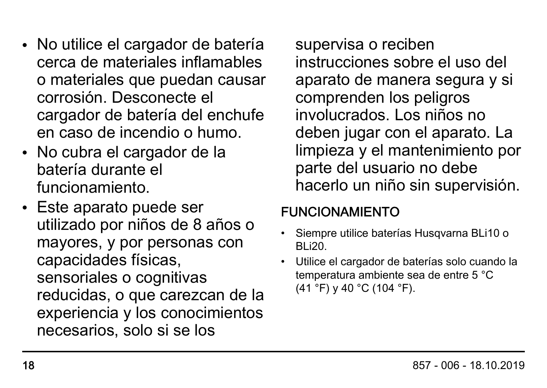- No utilice el cargador de batería cerca de materiales inflamables o materiales que puedan causar corrosión. Desconecte el cargador de batería del enchufe en caso de incendio o humo.
- No cubra el cargador de la batería durante el funcionamiento.
- Este aparato puede ser utilizado por niños de 8 años o mayores, y por personas con capacidades físicas, sensoriales o cognitivas reducidas, o que carezcan de la experiencia y los conocimientos necesarios, solo si se los

supervisa o reciben instrucciones sobre el uso del aparato de manera segura y si comprenden los peligros involucrados. Los niños no deben jugar con el aparato. La limpieza y el mantenimiento por parte del usuario no debe hacerlo un niño sin supervisión.

#### FUNCIONAMIENTO

- Siempre utilice baterías Husqvarna BLi10 o BLi20.
- Utilice el cargador de baterías solo cuando la temperatura ambiente sea de entre 5 °C (41 °F) y 40 °C (104 °F).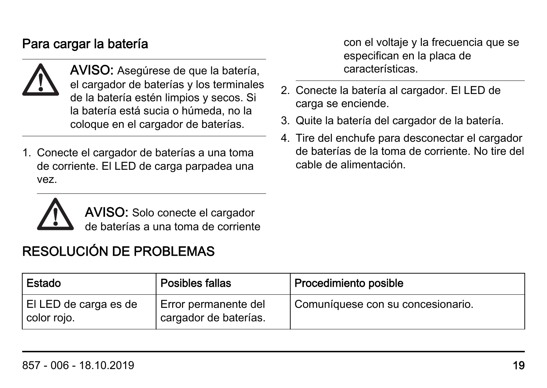#### Para cargar la batería



AVISO: Asegúrese de que la batería, el cargador de baterías y los terminales de la batería estén limpios y secos. Si la batería está sucia o húmeda, no la coloque en el cargador de baterías.

1. Conecte el cargador de baterías a una toma de corriente. El LED de carga parpadea una vez.

con el voltaje y la frecuencia que se especifican en la placa de características.

- 2. Conecte la batería al cargador. El LED de carga se enciende.
- 3. Quite la batería del cargador de la batería.
- 4. Tire del enchufe para desconectar el cargador de baterías de la toma de corriente. No tire del cable de alimentación.



AVISO: Solo conecte el cargador de baterías a una toma de corriente

#### RESOLUCIÓN DE PROBLEMAS

| Estado                                 | Posibles fallas                               | Procedimiento posible             |
|----------------------------------------|-----------------------------------------------|-----------------------------------|
| El LED de carga es de<br>∣ color rojo. | Error permanente del<br>cargador de baterías. | Comuníquese con su concesionario. |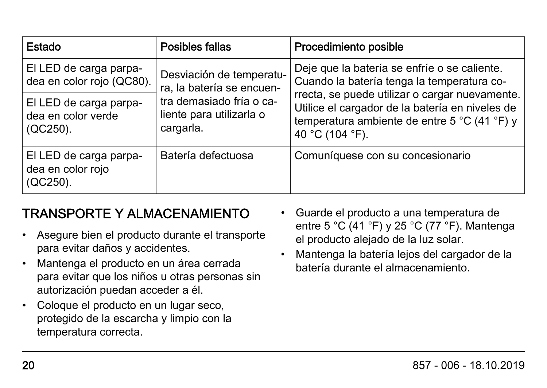| Estado                                                   | Posibles fallas                                                                                                            | Procedimiento posible                                                                                                                                                                                                                                              |
|----------------------------------------------------------|----------------------------------------------------------------------------------------------------------------------------|--------------------------------------------------------------------------------------------------------------------------------------------------------------------------------------------------------------------------------------------------------------------|
| El LED de carga parpa-<br>dea en color rojo (QC80).      | Desviación de temperatu-<br>ra, la batería se encuen-<br>tra demasiado fría o ca-<br>liente para utilizarla o<br>cargarla. | Deje que la batería se enfríe o se caliente.<br>Cuando la batería tenga la temperatura co-<br>rrecta, se puede utilizar o cargar nuevamente.<br>Utilice el cargador de la batería en niveles de<br>temperatura ambiente de entre 5 °C (41 °F) y<br>40 °C (104 °F). |
| El LED de carga parpa-<br>dea en color verde<br>(QC250). |                                                                                                                            |                                                                                                                                                                                                                                                                    |
| El LED de carga parpa-<br>dea en color rojo<br>(QC250).  | Batería defectuosa                                                                                                         | Comuníquese con su concesionario                                                                                                                                                                                                                                   |

#### TRANSPORTE Y ALMACENAMIENTO

- Asegure bien el producto durante el transporte para evitar daños y accidentes.
- Mantenga el producto en un área cerrada para evitar que los niños u otras personas sin autorización puedan acceder a él.
- Coloque el producto en un lugar seco, protegido de la escarcha y limpio con la temperatura correcta.
- Guarde el producto a una temperatura de entre 5 °C (41 °F) y 25 °C (77 °F). Mantenga el producto alejado de la luz solar.
- Mantenga la batería lejos del cargador de la batería durante el almacenamiento.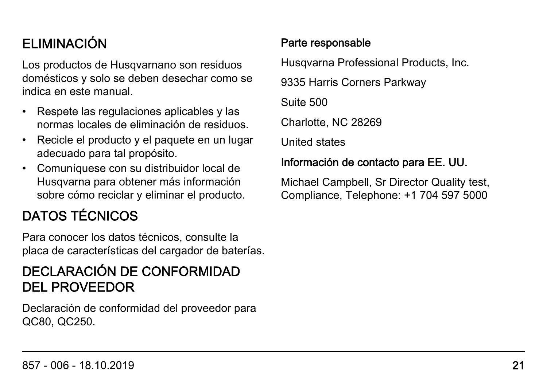#### ELIMINACIÓN

Los productos de Husqvarnano son residuos domésticos y solo se deben desechar como se indica en este manual.

- Respete las regulaciones aplicables y las normas locales de eliminación de residuos.
- Recicle el producto y el paquete en un lugar adecuado para tal propósito.
- Comuníquese con su distribuidor local de Husqvarna para obtener más información sobre cómo reciclar y eliminar el producto.

#### DATOS TÉCNICOS

Para conocer los datos técnicos, consulte la placa de características del cargador de baterías.

#### DECLARACIÓN DE CONFORMIDAD DEL PROVEEDOR

Declaración de conformidad del proveedor para QC80, QC250.

#### Parte responsable

Husqvarna Professional Products, Inc.

9335 Harris Corners Parkway

Suite 500

Charlotte, NC 28269

United states

#### Información de contacto para EE. UU.

Michael Campbell, Sr Director Quality test, Compliance, Telephone: +1 704 597 5000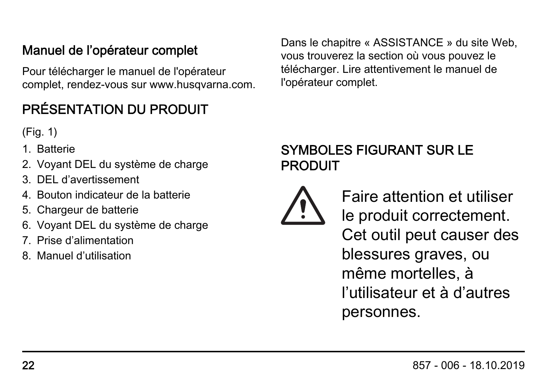#### Manuel de l'opérateur complet

Pour télécharger le manuel de l'opérateur complet, rendez-vous sur www.husqvarna.com.

#### PRÉSENTATION DU PRODUIT

(Fig. 1)

- 1. Batterie
- 2. Voyant DEL du système de charge
- 3. DEL d'avertissement
- 4. Bouton indicateur de la batterie
- 5. Chargeur de batterie
- 6. Voyant DEL du système de charge
- 7. Prise d'alimentation
- 8. Manuel d'utilisation

Dans le chapitre « ASSISTANCE » du site Web, vous trouverez la section où vous pouvez le télécharger. Lire attentivement le manuel de l'opérateur complet.

#### SYMBOLES FIGURANT SUR LE PRODUIT



Faire attention et utiliser le produit correctement. Cet outil peut causer des blessures graves, ou même mortelles, à l'utilisateur et à d'autres personnes.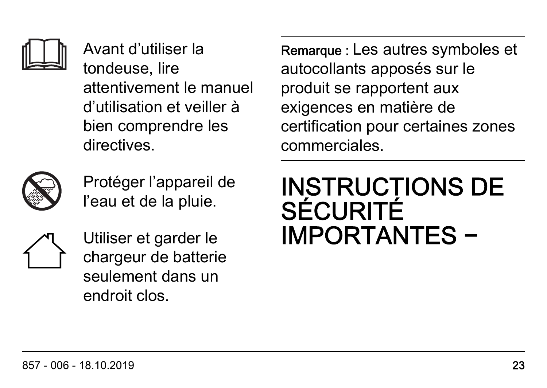

Avant d'utiliser la tondeuse, lire attentivement le manuel d'utilisation et veiller à bien comprendre les directives.



Protéger l'appareil de l'eau et de la pluie.



Utiliser et garder le chargeur de batterie seulement dans un endroit clos.

Remarque : Les autres symboles et autocollants apposés sur le produit se rapportent aux exigences en matière de certification pour certaines zones commerciales.

# INSTRUCTIONS DE **SÉCURITÉ** IMPORTANTES −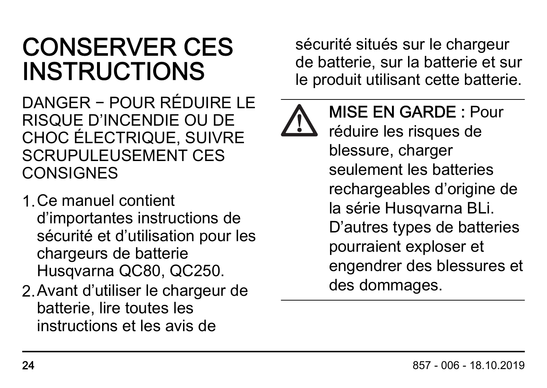# CONSERVER CES INSTRUCTIONS

DANGER − POUR RÉDUIRE LE RISQUE D'INCENDIE OU DE CHOC ÉLECTRIQUE, SUIVRE SCRUPULEUSEMENT CES **CONSIGNES** 

- 1.Ce manuel contient d'importantes instructions de sécurité et d'utilisation pour les chargeurs de batterie Husqvarna QC80, QC250.
- 2.Avant d'utiliser le chargeur de batterie, lire toutes les instructions et les avis de

sécurité situés sur le chargeur de batterie, sur la batterie et sur le produit utilisant cette batterie.



MISE EN GARDE : Pour réduire les risques de blessure, charger seulement les batteries rechargeables d'origine de la série Husqvarna BLi. D'autres types de batteries pourraient exploser et engendrer des blessures et des dommages.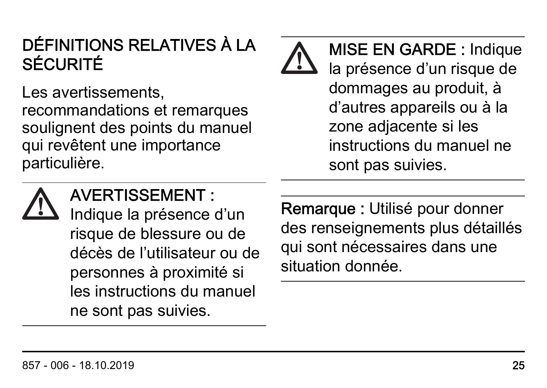### DÉFINITIONS RELATIVES À LA SÉCURITÉ

Les avertissements. recommandations et remarques soulignent des points du manuel qui revêtent une importance particulière.

MISE EN GARDE : Indique la présence d'un risque de dommages au produit, à d'autres appareils ou à la zone adjacente si les instructions du manuel ne sont pas suivies.



#### AVERTISSEMENT :

Indique la présence d'un risque de blessure ou de décès de l'utilisateur ou de personnes à proximité si les instructions du manuel ne sont pas suivies.

Remarque : Utilisé pour donner des renseignements plus détaillés qui sont nécessaires dans une situation donnée.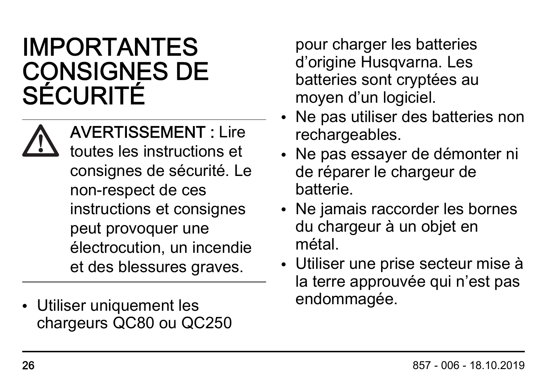# IMPORTANTES CONSIGNES DE SÉCURITÉ

AVERTISSEMENT : Lire toutes les instructions et consignes de sécurité. Le non-respect de ces instructions et consignes peut provoquer une électrocution, un incendie et des blessures graves.

• Utiliser uniquement les chargeurs QC80 ou QC250

pour charger les batteries d'origine Husqvarna. Les batteries sont cryptées au moyen d'un logiciel.

- Ne pas utiliser des batteries non rechargeables.
- Ne pas essayer de démonter ni de réparer le chargeur de batterie.
- Ne jamais raccorder les bornes du chargeur à un objet en métal.
- Utiliser une prise secteur mise à la terre approuvée qui n'est pas endommagée.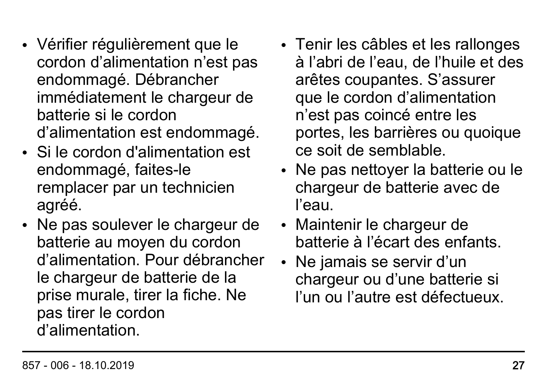- Vérifier régulièrement que le cordon d'alimentation n'est pas endommagé. Débrancher immédiatement le chargeur de batterie si le cordon d'alimentation est endommagé.
- Si le cordon d'alimentation est endommagé, faites-le remplacer par un technicien agréé.
- Ne pas soulever le chargeur de batterie au moyen du cordon d'alimentation. Pour débrancher le chargeur de batterie de la prise murale, tirer la fiche. Ne pas tirer le cordon d'alimentation.
- Tenir les câbles et les rallonges à l'abri de l'eau, de l'huile et des arêtes coupantes. S'assurer que le cordon d'alimentation n'est pas coincé entre les portes, les barrières ou quoique ce soit de semblable.
- Ne pas nettoyer la batterie ou le chargeur de batterie avec de l'eau.
- Maintenir le chargeur de batterie à l'écart des enfants.
- Ne jamais se servir d'un chargeur ou d'une batterie si l'un ou l'autre est défectueux.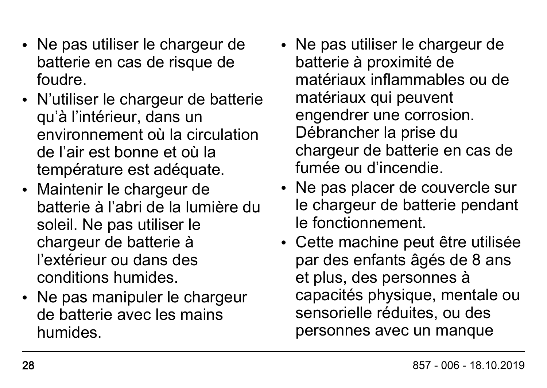- Ne pas utiliser le chargeur de batterie en cas de risque de foudre.
- N'utiliser le chargeur de batterie qu'à l'intérieur, dans un environnement où la circulation de l'air est bonne et où la température est adéquate.
- Maintenir le chargeur de batterie à l'abri de la lumière du soleil. Ne pas utiliser le chargeur de batterie à l'extérieur ou dans des conditions humides.
- Ne pas manipuler le chargeur de batterie avec les mains humides.
- Ne pas utiliser le chargeur de batterie à proximité de matériaux inflammables ou de matériaux qui peuvent engendrer une corrosion. Débrancher la prise du chargeur de batterie en cas de fumée ou d'incendie.
- Ne pas placer de couvercle sur le chargeur de batterie pendant le fonctionnement.
- Cette machine peut être utilisée par des enfants âgés de 8 ans et plus, des personnes à capacités physique, mentale ou sensorielle réduites, ou des personnes avec un manque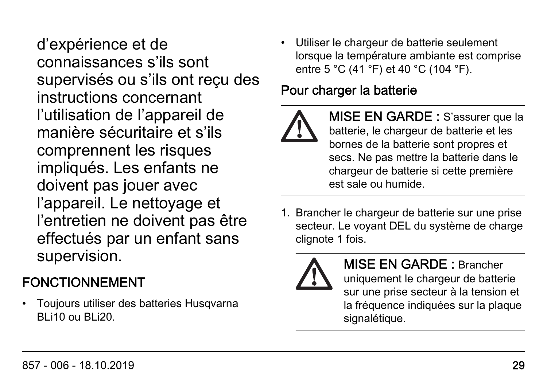d'expérience et de connaissances s'ils sont supervisés ou s'ils ont reçu des instructions concernant l'utilisation de l'appareil de manière sécuritaire et s'ils comprennent les risques impliqués. Les enfants ne doivent pas jouer avec l'appareil. Le nettoyage et l'entretien ne doivent pas être effectués par un enfant sans supervision.

#### FONCTIONNEMENT

• Toujours utiliser des batteries Husqvarna  $B$ li10 ou  $B$ li20.

• Utiliser le chargeur de batterie seulement lorsque la température ambiante est comprise entre 5 °C (41 °F) et 40 °C (104 °F).

#### Pour charger la batterie



MISE EN GARDE : S'assurer que la batterie, le chargeur de batterie et les bornes de la batterie sont propres et secs. Ne pas mettre la batterie dans le chargeur de batterie si cette première est sale ou humide.

1. Brancher le chargeur de batterie sur une prise secteur. Le voyant DEL du système de charge clignote 1 fois.



MISE EN GARDE : Brancher uniquement le chargeur de batterie sur une prise secteur à la tension et la fréquence indiquées sur la plaque signalétique.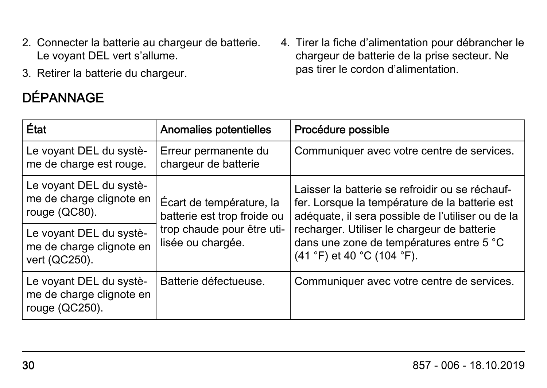- 2. Connecter la batterie au chargeur de batterie. Le voyant DEL vert s'allume.
- 3. Retirer la batterie du chargeur.

#### DÉPANNAGE

4. Tirer la fiche d'alimentation pour débrancher le chargeur de batterie de la prise secteur. Ne pas tirer le cordon d'alimentation.

| État                                                                  | Anomalies potentielles                                                                                     | Procédure possible                                                                                                                                                                                                                                                                                          |
|-----------------------------------------------------------------------|------------------------------------------------------------------------------------------------------------|-------------------------------------------------------------------------------------------------------------------------------------------------------------------------------------------------------------------------------------------------------------------------------------------------------------|
| Le voyant DEL du systè-<br>me de charge est rouge.                    | Erreur permanente du<br>chargeur de batterie                                                               | Communiquer avec votre centre de services.                                                                                                                                                                                                                                                                  |
| Le voyant DEL du systè-<br>me de charge clignote en<br>rouge (QC80).  | Écart de température, la<br>batterie est trop froide ou<br>trop chaude pour être uti-<br>lisée ou chargée. | Laisser la batterie se refroidir ou se réchauf-<br>fer. Lorsque la température de la batterie est<br>adéquate, il sera possible de l'utiliser ou de la<br>recharger. Utiliser le chargeur de batterie<br>dans une zone de températures entre 5 °C<br>$(41 \degree F)$ et 40 $\degree C$ (104 $\degree F$ ). |
| Le voyant DEL du systè-<br>me de charge clignote en<br>vert (QC250).  |                                                                                                            |                                                                                                                                                                                                                                                                                                             |
| Le voyant DEL du systè-<br>me de charge clignote en<br>rouge (QC250). | Batterie défectueuse.                                                                                      | Communiquer avec votre centre de services.                                                                                                                                                                                                                                                                  |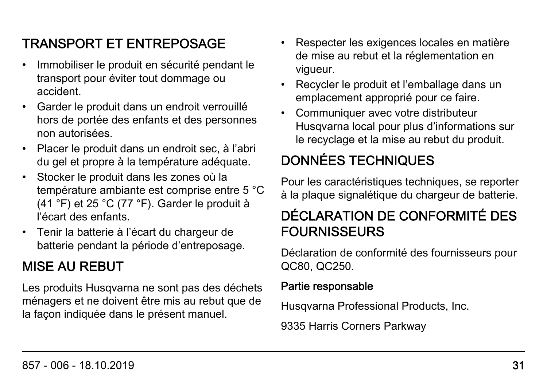#### TRANSPORT ET ENTREPOSAGE

- Immobiliser le produit en sécurité pendant le transport pour éviter tout dommage ou accident.
- Garder le produit dans un endroit verrouillé hors de portée des enfants et des personnes non autorisées.
- Placer le produit dans un endroit sec, à l'abri du gel et propre à la température adéquate.
- Stocker le produit dans les zones où la température ambiante est comprise entre 5 °C (41 °F) et 25 °C (77 °F). Garder le produit à l'écart des enfants.
- Tenir la batterie à l'écart du chargeur de batterie pendant la période d'entreposage.

#### MISE AU REBUT

Les produits Husqvarna ne sont pas des déchets ménagers et ne doivent être mis au rebut que de la façon indiquée dans le présent manuel.

- Respecter les exigences locales en matière de mise au rebut et la réglementation en vigueur.
- Recycler le produit et l'emballage dans un emplacement approprié pour ce faire.
- Communiquer avec votre distributeur Husqvarna local pour plus d'informations sur le recyclage et la mise au rebut du produit.

#### DONNÉES TECHNIQUES

Pour les caractéristiques techniques, se reporter à la plaque signalétique du chargeur de batterie.

#### DÉCLARATION DE CONFORMITÉ DES FOURNISSEURS

Déclaration de conformité des fournisseurs pour QC80, QC250.

#### Partie responsable

Husqvarna Professional Products, Inc.

9335 Harris Corners Parkway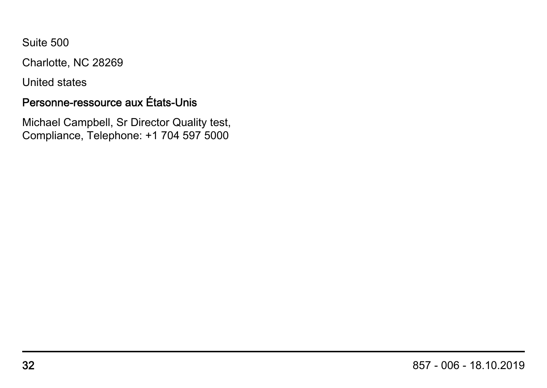Suite 500

Charlotte, NC 28269

United states

#### Personne-ressource aux États-Unis

Michael Campbell, Sr Director Quality test, Compliance, Telephone: +1 704 597 5000